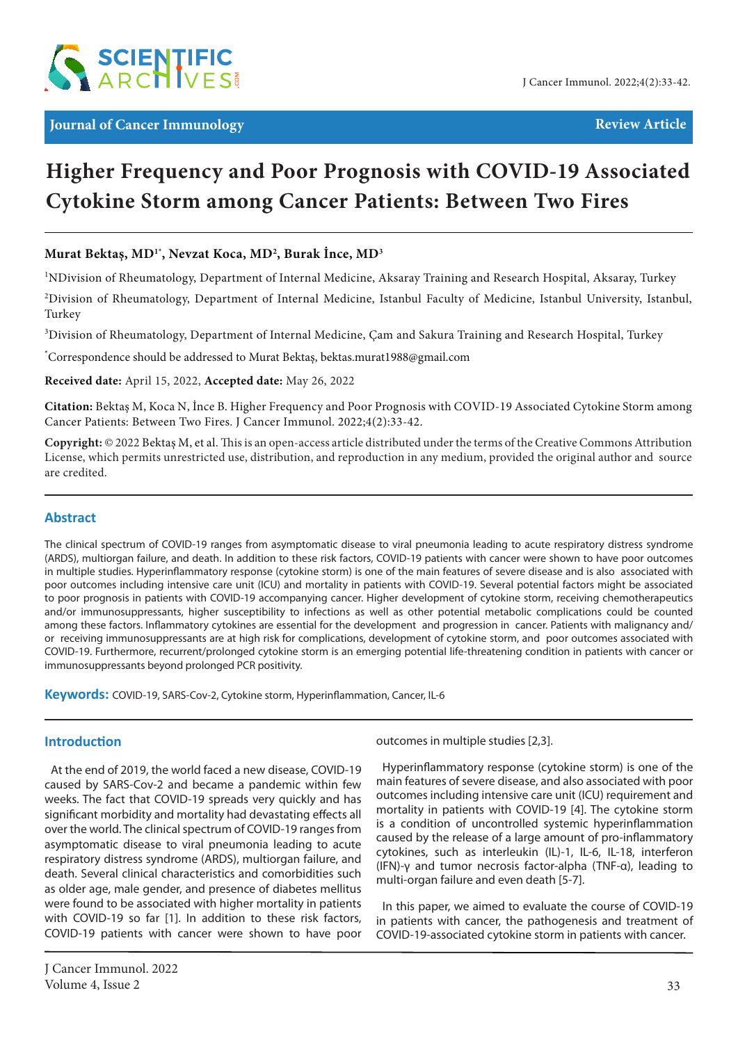

# **Higher Frequency and Poor Prognosis with COVID-19 Associated Cytokine Storm among Cancer Patients: Between Two Fires**

# **Murat Bektaş, MD1\*, Nevzat Koca, MD2 , Burak İnce, MD3**

1 NDivision of Rheumatology, Department of Internal Medicine, Aksaray Training and Research Hospital, Aksaray, Turkey

2 Division of Rheumatology, Department of Internal Medicine, Istanbul Faculty of Medicine, Istanbul University, Istanbul, Turkey

 $^3$ Division of Rheumatology, Department of Internal Medicine, Çam and Sakura Training and Research Hospital, Turkey

\* Correspondence should be addressed to Murat Bektaş, bektas.murat1988@gmail.com

**Received date:** April 15, 2022, **Accepted date:** May 26, 2022

**Citation:** Bektaş M, Koca N, İnce B. Higher Frequency and Poor Prognosis with COVID-19 Associated Cytokine Storm among Cancer Patients: Between Two Fires. J Cancer Immunol. 2022;4(2):33-42.

**Copyright:** © 2022 Bektaş M, et al. This is an open-access article distributed under the terms of the Creative Commons Attribution License, which permits unrestricted use, distribution, and reproduction in any medium, provided the original author and source are credited.

#### **Abstract**

The clinical spectrum of COVID-19 ranges from asymptomatic disease to viral pneumonia leading to acute respiratory distress syndrome (ARDS), multiorgan failure, and death. In addition to these risk factors, COVID-19 patients with cancer were shown to have poor outcomes in multiple studies. Hyperinflammatory response (cytokine storm) is one of the main features of severe disease and is also associated with poor outcomes including intensive care unit (ICU) and mortality in patients with COVID-19. Several potential factors might be associated to poor prognosis in patients with COVID-19 accompanying cancer. Higher development of cytokine storm, receiving chemotherapeutics and/or immunosuppressants, higher susceptibility to infections as well as other potential metabolic complications could be counted among these factors. Inflammatory cytokines are essential for the development and progression in cancer. Patients with malignancy and/ or receiving immunosuppressants are at high risk for complications, development of cytokine storm, and poor outcomes associated with COVID-19. Furthermore, recurrent/prolonged cytokine storm is an emerging potential life-threatening condition in patients with cancer or immunosuppressants beyond prolonged PCR positivity.

**Keywords:** COVID-19, SARS-Cov-2, Cytokine storm, Hyperinflammation, Cancer, IL-6

# **Introduction**

At the end of 2019, the world faced a new disease, COVID-19 caused by SARS-Cov-2 and became a pandemic within few weeks. The fact that COVID-19 spreads very quickly and has significant morbidity and mortality had devastating effects all over the world. The clinical spectrum of COVID-19 ranges from asymptomatic disease to viral pneumonia leading to acute respiratory distress syndrome (ARDS), multiorgan failure, and death. Several clinical characteristics and comorbidities such as older age, male gender, and presence of diabetes mellitus were found to be associated with higher mortality in patients with COVID-19 so far [1]. In addition to these risk factors, COVID-19 patients with cancer were shown to have poor

outcomes in multiple studies [2,3].

Hyperinflammatory response (cytokine storm) is one of the main features of severe disease, and also associated with poor outcomes including intensive care unit (ICU) requirement and mortality in patients with COVID-19 [4]. The cytokine storm is a condition of uncontrolled systemic hyperinflammation caused by the release of a large amount of pro-inflammatory cytokines, such as interleukin (IL)-1, IL-6, IL-18, interferon (IFN)-γ and tumor necrosis factor-alpha (TNF-α), leading to multi-organ failure and even death [5-7].

In this paper, we aimed to evaluate the course of COVID-19 in patients with cancer, the pathogenesis and treatment of COVID-19-associated cytokine storm in patients with cancer.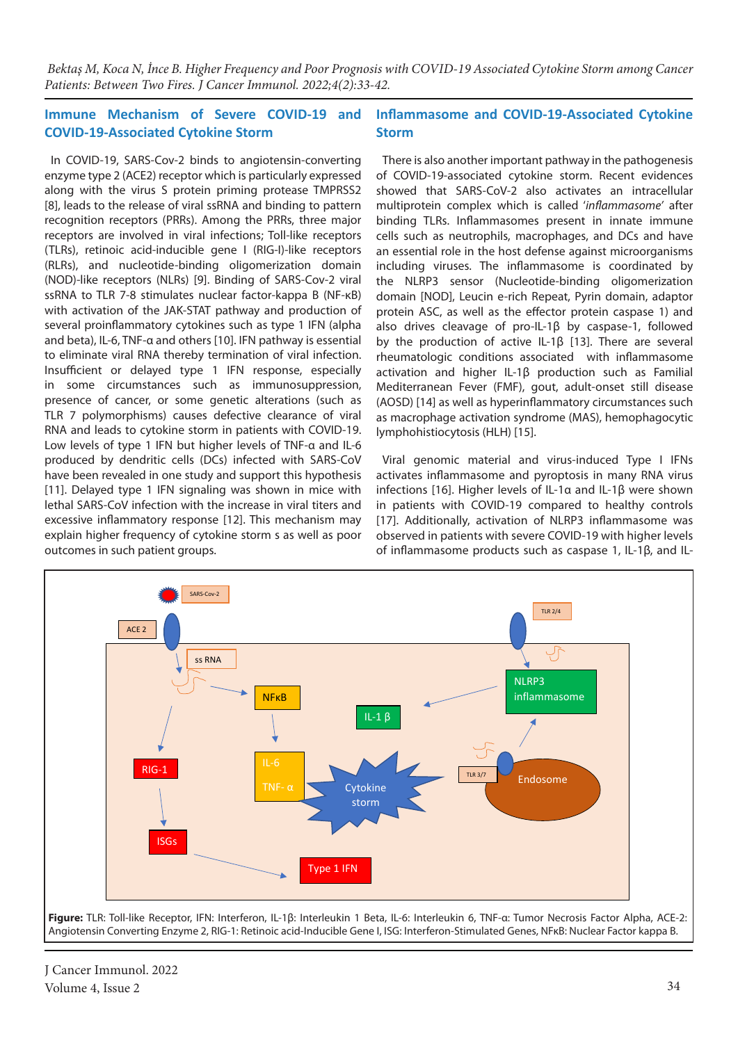#### **Immune Mechanism of Severe COVID-19 and COVID-19-Associated Cytokine Storm Inflammasome and COVID-19-Associated Cytokine Storm**

In COVID-19, SARS-Cov-2 binds to angiotensin-converting enzyme type 2 (ACE2) receptor which is particularly expressed along with the virus S protein priming protease TMPRSS2 [8], leads to the release of viral ssRNA and binding to pattern recognition receptors (PRRs). Among the PRRs, three major receptors are involved in viral infections; Toll-like receptors (TLRs), retinoic acid-inducible gene I (RIG-I)-like receptors (RLRs), and nucleotide-binding oligomerization domain (NOD)-like receptors (NLRs) [9]. Binding of SARS-Cov-2 viral ssRNA to TLR 7-8 stimulates nuclear factor-kappa B (NF-κB) with activation of the JAK-STAT pathway and production of several proinflammatory cytokines such as type 1 IFN (alpha and beta), IL-6, TNF-α and others [10]. IFN pathway is essential to eliminate viral RNA thereby termination of viral infection. Insufficient or delayed type 1 IFN response, especially in some circumstances such as immunosuppression, presence of cancer, or some genetic alterations (such as TLR 7 polymorphisms) causes defective clearance of viral RNA and leads to cytokine storm in patients with COVID-19. Low levels of type 1 IFN but higher levels of TNF-α and IL-6 produced by dendritic cells (DCs) infected with SARS-CoV have been revealed in one study and support this hypothesis [11]. Delayed type 1 IFN signaling was shown in mice with lethal SARS-CoV infection with the increase in viral titers and excessive inflammatory response [12]. This mechanism may explain higher frequency of cytokine storm s as well as poor outcomes in such patient groups.

There is also another important pathway in the pathogenesis of COVID-19-associated cytokine storm. Recent evidences showed that SARS-CoV-2 also activates an intracellular multiprotein complex which is called '*inflammasome'* after binding TLRs. Inflammasomes present in innate immune cells such as neutrophils, macrophages, and DCs and have an essential role in the host defense against microorganisms including viruses. The inflammasome is coordinated by the NLRP3 sensor (Nucleotide-binding oligomerization domain [NOD], Leucin e-rich Repeat, Pyrin domain, adaptor protein ASC, as well as the effector protein caspase 1) and also drives cleavage of pro-IL-1β by caspase-1, followed by the production of active IL-1β [13]. There are several rheumatologic conditions associated with inflammasome activation and higher IL-1β production such as Familial Mediterranean Fever (FMF), gout, adult-onset still disease (AOSD) [14] as well as hyperinflammatory circumstances such as macrophage activation syndrome (MAS), hemophagocytic lymphohistiocytosis (HLH) [15].

Viral genomic material and virus-induced Type I IFNs activates inflammasome and pyroptosis in many RNA virus infections [16]. Higher levels of IL-1α and IL-1β were shown in patients with COVID-19 compared to healthy controls [17]. Additionally, activation of NLRP3 inflammasome was observed in patients with severe COVID-19 with higher levels of inflammasome products such as caspase 1, IL-1β, and IL-



J Cancer Immunol. 2022 Volume 4, Issue 2 34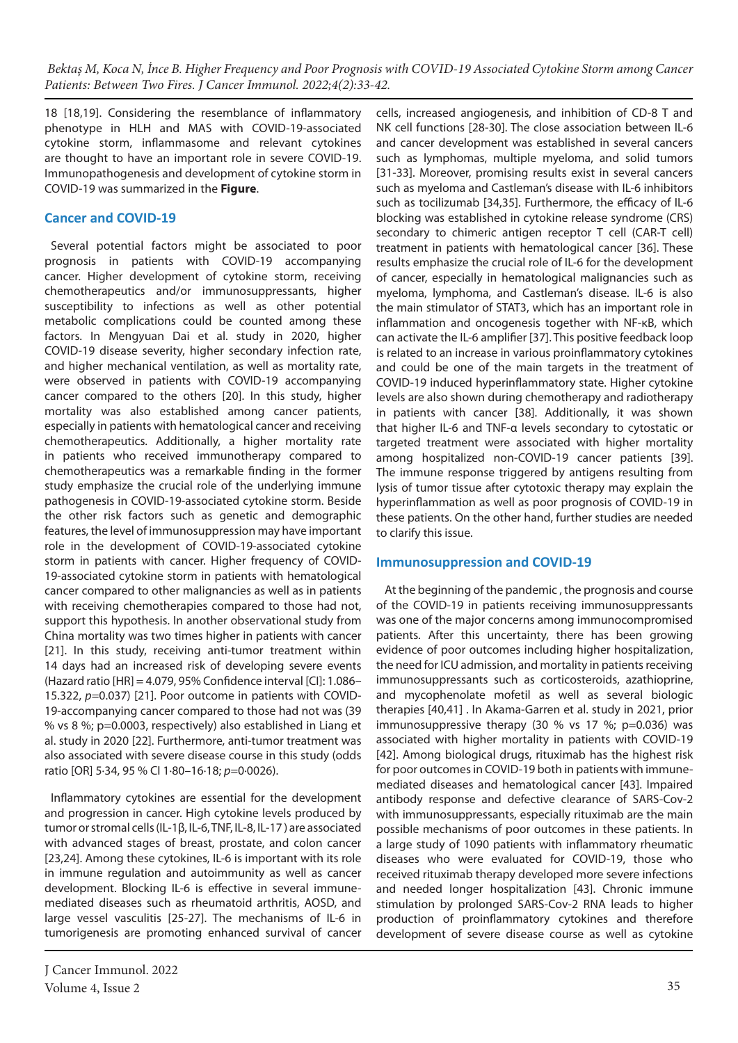18 [18,19]. Considering the resemblance of inflammatory phenotype in HLH and MAS with COVID-19-associated cytokine storm, inflammasome and relevant cytokines are thought to have an important role in severe COVID-19. Immunopathogenesis and development of cytokine storm in COVID-19 was summarized in the **Figure**.

# **Cancer and COVID-19**

Several potential factors might be associated to poor prognosis in patients with COVID-19 accompanying cancer. Higher development of cytokine storm, receiving chemotherapeutics and/or immunosuppressants, higher susceptibility to infections as well as other potential metabolic complications could be counted among these factors. In Mengyuan Dai et al. study in 2020, higher COVID-19 disease severity, higher secondary infection rate, and higher mechanical ventilation, as well as mortality rate, were observed in patients with COVID-19 accompanying cancer compared to the others [20]. In this study, higher mortality was also established among cancer patients, especially in patients with hematological cancer and receiving chemotherapeutics. Additionally, a higher mortality rate in patients who received immunotherapy compared to chemotherapeutics was a remarkable finding in the former study emphasize the crucial role of the underlying immune pathogenesis in COVID-19-associated cytokine storm. Beside the other risk factors such as genetic and demographic features, the level of immunosuppression may have important role in the development of COVID-19-associated cytokine storm in patients with cancer. Higher frequency of COVID-19-associated cytokine storm in patients with hematological cancer compared to other malignancies as well as in patients with receiving chemotherapies compared to those had not, support this hypothesis. In another observational study from China mortality was two times higher in patients with cancer [21]. In this study, receiving anti-tumor treatment within 14 days had an increased risk of developing severe events (Hazard ratio [HR] = 4.079, 95% Confidence interval [CI]: 1.086– 15.322, *p*=0.037) [21]. Poor outcome in patients with COVID-19-accompanying cancer compared to those had not was (39 % vs 8 %; p=0.0003, respectively) also established in Liang et al. study in 2020 [22]. Furthermore, anti-tumor treatment was also associated with severe disease course in this study (odds ratio [OR] 5·34, 95 % CI 1·80–16·18; *p*=0·0026).

Inflammatory cytokines are essential for the development and progression in cancer. High cytokine levels produced by tumor or stromal cells (IL-1β, IL-6, TNF, IL-8, IL-17 ) are associated with advanced stages of breast, prostate, and colon cancer [23,24]. Among these cytokines, IL-6 is important with its role in immune regulation and autoimmunity as well as cancer development. Blocking IL-6 is effective in several immunemediated diseases such as rheumatoid arthritis, AOSD, and large vessel vasculitis [25-27]. The mechanisms of IL-6 in tumorigenesis are promoting enhanced survival of cancer

J Cancer Immunol. 2022 Volume 4, Issue 2 35

cells, increased angiogenesis, and inhibition of CD-8 T and NK cell functions [28-30]. The close association between IL-6 and cancer development was established in several cancers such as lymphomas, multiple myeloma, and solid tumors [31-33]. Moreover, promising results exist in several cancers such as myeloma and Castleman's disease with IL-6 inhibitors such as tocilizumab [34,35]. Furthermore, the efficacy of IL-6 blocking was established in cytokine release syndrome (CRS) secondary to chimeric antigen receptor T cell (CAR-T cell) treatment in patients with hematological cancer [36]. These results emphasize the crucial role of IL-6 for the development of cancer, especially in hematological malignancies such as myeloma, lymphoma, and Castleman's disease. IL-6 is also the main stimulator of STAT3, which has an important role in inflammation and oncogenesis together with NF-κB, which can activate the IL-6 amplifier [37]. This positive feedback loop is related to an increase in various proinflammatory cytokines and could be one of the main targets in the treatment of COVID-19 induced hyperinflammatory state. Higher cytokine levels are also shown during chemotherapy and radiotherapy in patients with cancer [38]. Additionally, it was shown that higher IL-6 and TNF-α levels secondary to cytostatic or targeted treatment were associated with higher mortality among hospitalized non-COVID-19 cancer patients [39]. The immune response triggered by antigens resulting from lysis of tumor tissue after cytotoxic therapy may explain the hyperinflammation as well as poor prognosis of COVID-19 in these patients. On the other hand, further studies are needed to clarify this issue.

### **Immunosuppression and COVID-19**

 At the beginning of the pandemic , the prognosis and course of the COVID-19 in patients receiving immunosuppressants was one of the major concerns among immunocompromised patients. After this uncertainty, there has been growing evidence of poor outcomes including higher hospitalization, the need for ICU admission, and mortality in patients receiving immunosuppressants such as corticosteroids, azathioprine, and mycophenolate mofetil as well as several biologic therapies [40,41] . In Akama-Garren et al. study in 2021, prior immunosuppressive therapy (30 % vs 17 %; p=0.036) was associated with higher mortality in patients with COVID-19 [42]. Among biological drugs, rituximab has the highest risk for poor outcomes in COVID-19 both in patients with immunemediated diseases and hematological cancer [43]. Impaired antibody response and defective clearance of SARS-Cov-2 with immunosuppressants, especially rituximab are the main possible mechanisms of poor outcomes in these patients. In a large study of 1090 patients with inflammatory rheumatic diseases who were evaluated for COVID-19, those who received rituximab therapy developed more severe infections and needed longer hospitalization [43]. Chronic immune stimulation by prolonged SARS-Cov-2 RNA leads to higher production of proinflammatory cytokines and therefore development of severe disease course as well as cytokine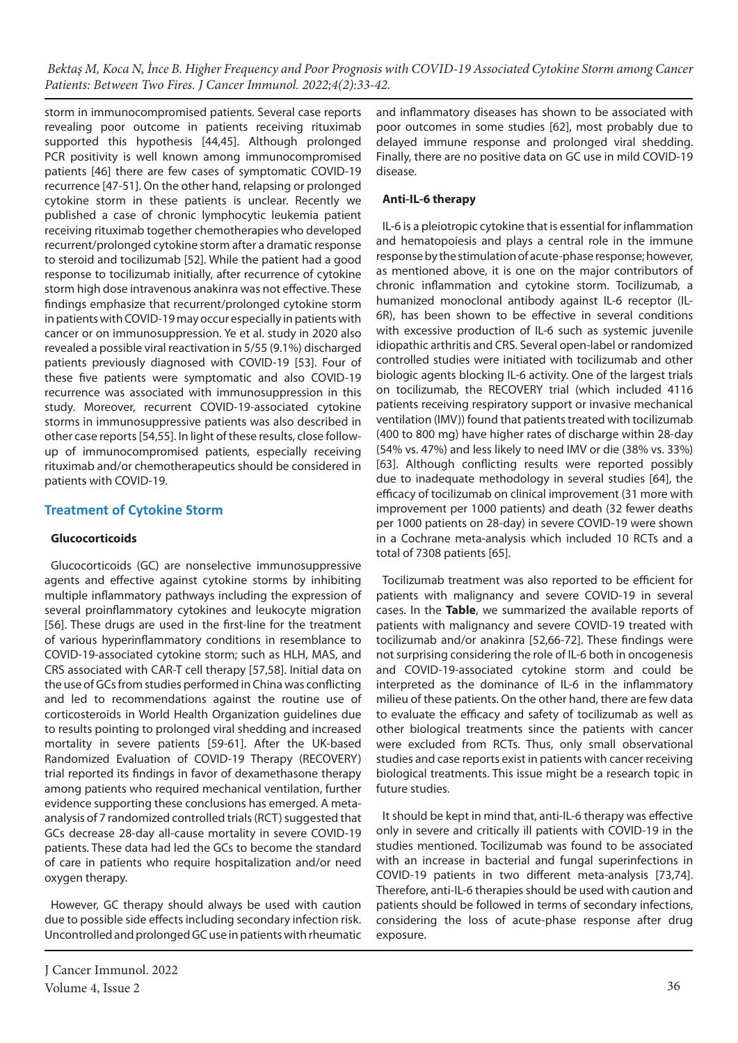storm in immunocompromised patients. Several case reports revealing poor outcome in patients receiving rituximab supported this hypothesis [44,45]. Although prolonged PCR positivity is well known among immunocompromised patients [46] there are few cases of symptomatic COVID-19 recurrence [47-51]. On the other hand, relapsing or prolonged cytokine storm in these patients is unclear. Recently we published a case of chronic lymphocytic leukemia patient receiving rituximab together chemotherapies who developed recurrent/prolonged cytokine storm after a dramatic response to steroid and tocilizumab [52]. While the patient had a good response to tocilizumab initially, after recurrence of cytokine storm high dose intravenous anakinra was not effective. These findings emphasize that recurrent/prolonged cytokine storm in patients with COVID-19 may occur especially in patients with cancer or on immunosuppression. Ye et al. study in 2020 also revealed a possible viral reactivation in 5/55 (9.1%) discharged patients previously diagnosed with COVID-19 [53]. Four of these five patients were symptomatic and also COVID-19 recurrence was associated with immunosuppression in this study. Moreover, recurrent COVID-19-associated cytokine storms in immunosuppressive patients was also described in other case reports [54,55]. In light of these results, close followup of immunocompromised patients, especially receiving rituximab and/or chemotherapeutics should be considered in patients with COVID-19.

# **Treatment of Cytokine Storm**

#### **Glucocorticoids**

Glucocorticoids (GC) are nonselective immunosuppressive agents and effective against cytokine storms by inhibiting multiple inflammatory pathways including the expression of several proinflammatory cytokines and leukocyte migration [56]. These drugs are used in the first-line for the treatment of various hyperinflammatory conditions in resemblance to COVID-19-associated cytokine storm; such as HLH, MAS, and CRS associated with CAR-T cell therapy [57,58]. Initial data on the use of GCs from studies performed in China was conflicting and led to recommendations against the routine use of corticosteroids in World Health Organization guidelines due to results pointing to prolonged viral shedding and increased mortality in severe patients [59-61]. After the UK-based Randomized Evaluation of COVID-19 Therapy (RECOVERY) trial reported its findings in favor of dexamethasone therapy among patients who required mechanical ventilation, further evidence supporting these conclusions has emerged. A metaanalysis of 7 randomized controlled trials (RCT) suggested that GCs decrease 28-day all-cause mortality in severe COVID-19 patients. These data had led the GCs to become the standard of care in patients who require hospitalization and/or need oxygen therapy.

However, GC therapy should always be used with caution due to possible side effects including secondary infection risk. Uncontrolled and prolonged GC use in patients with rheumatic and inflammatory diseases has shown to be associated with poor outcomes in some studies [62], most probably due to delayed immune response and prolonged viral shedding. Finally, there are no positive data on GC use in mild COVID-19 disease.

### **Anti-IL-6 therapy**

IL-6 is a pleiotropic cytokine that is essential for inflammation and hematopoiesis and plays a central role in the immune response by the stimulation of acute-phase response; however, as mentioned above, it is one on the major contributors of chronic inflammation and cytokine storm. Tocilizumab, a humanized monoclonal antibody against IL-6 receptor (IL-6R), has been shown to be effective in several conditions with excessive production of IL-6 such as systemic juvenile idiopathic arthritis and CRS. Several open-label or randomized controlled studies were initiated with tocilizumab and other biologic agents blocking IL-6 activity. One of the largest trials on tocilizumab, the RECOVERY trial (which included 4116 patients receiving respiratory support or invasive mechanical ventilation (IMV)) found that patients treated with tocilizumab (400 to 800 mg) have higher rates of discharge within 28-day (54% vs. 47%) and less likely to need IMV or die (38% vs. 33%) [63]. Although conflicting results were reported possibly due to inadequate methodology in several studies [64], the efficacy of tocilizumab on clinical improvement (31 more with improvement per 1000 patients) and death (32 fewer deaths per 1000 patients on 28-day) in severe COVID-19 were shown in a Cochrane meta-analysis which included 10 RCTs and a total of 7308 patients [65].

Tocilizumab treatment was also reported to be efficient for patients with malignancy and severe COVID-19 in several cases. In the **Table**, we summarized the available reports of patients with malignancy and severe COVID-19 treated with tocilizumab and/or anakinra [52,66-72]. These findings were not surprising considering the role of IL-6 both in oncogenesis and COVID-19-associated cytokine storm and could be interpreted as the dominance of IL-6 in the inflammatory milieu of these patients. On the other hand, there are few data to evaluate the efficacy and safety of tocilizumab as well as other biological treatments since the patients with cancer were excluded from RCTs. Thus, only small observational studies and case reports exist in patients with cancer receiving biological treatments. This issue might be a research topic in future studies.

It should be kept in mind that, anti-IL-6 therapy was effective only in severe and critically ill patients with COVID-19 in the studies mentioned. Tocilizumab was found to be associated with an increase in bacterial and fungal superinfections in COVID-19 patients in two different meta-analysis [73,74]. Therefore, anti-IL-6 therapies should be used with caution and patients should be followed in terms of secondary infections, considering the loss of acute-phase response after drug exposure.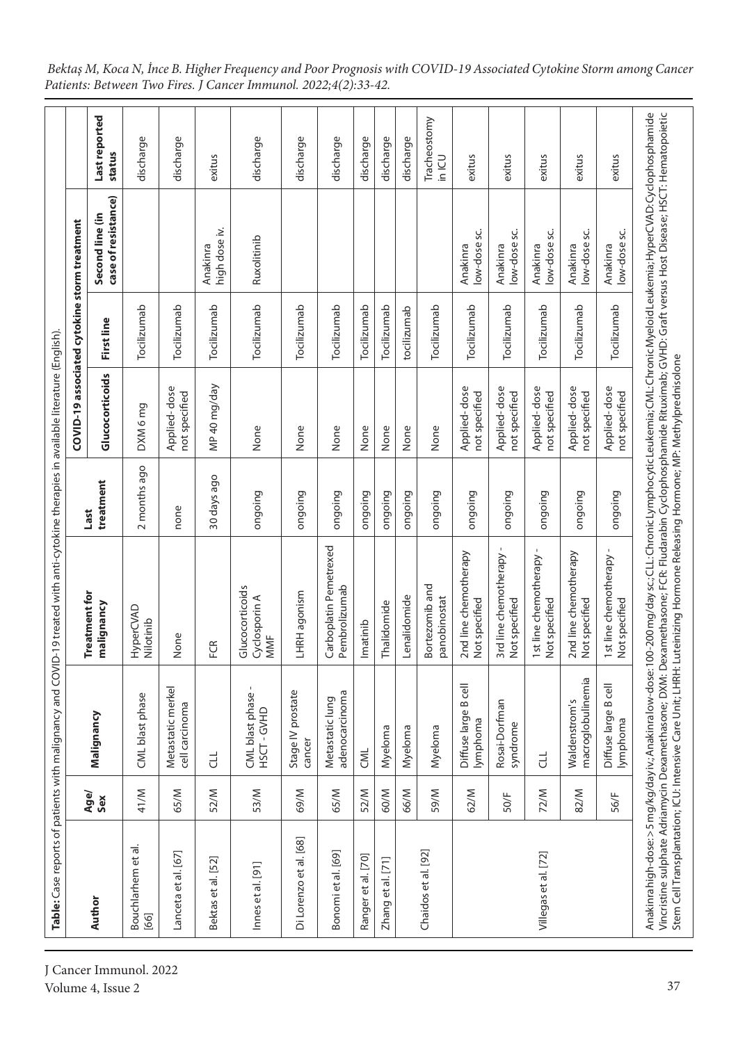|                            |             | Table: Case reports of patients with malignancy and COVID- |                                                        |                   | COVID-19 associated cytokine storm treatment | 19 treated with anti-cytokine therapies in available literature (English). |                                        |                         |
|----------------------------|-------------|------------------------------------------------------------|--------------------------------------------------------|-------------------|----------------------------------------------|----------------------------------------------------------------------------|----------------------------------------|-------------------------|
| Author                     | Age/<br>Sex | Malignancy                                                 | Treatment for<br>malignancy                            | treatment<br>Last | Glucocorticoids                              | First line                                                                 | case of resistance)<br>Second line (in | Last reported<br>status |
| Bouchlarhem et al.<br>[66] | 41/M        | CML blast phase                                            | HyperCVAD<br>Nilotinib                                 | 2 months ago      | DXM 6 mg                                     | Tocilizumab                                                                |                                        | discharge               |
| Lanceta et al. [67]        | 65/M        | Metastatic merkel<br>cell carcinoma                        | None                                                   | none              | Applied-dose<br>not specified                | Tocilizumab                                                                |                                        | discharge               |
| Bektas et al. [52]         | 52/M        | F                                                          | E<br>щ                                                 | 30 days ago       | MP 40 mg/day                                 | Tocilizumab                                                                | high dose iv.<br>Anakinra              | exitus                  |
| Innes et al. [91]          | 53/M        | CML blast phase<br>HSCT-GVHD                               | Glucocorticoids<br>Cyclosporin A<br>MMF                | ongoing           | None                                         | Tocilizumab                                                                | Ruxolitinib                            | discharge               |
| Di Lorenzo et al. [68]     | <b>M/69</b> | Stage IV prostate<br>cancer                                | LHRH agonism                                           | ongoing           | None                                         | Tocilizumab                                                                |                                        | discharge               |
| Bonomi et al. [69]         | 65/M        | adenocarcinoma<br>Metastatic lung                          | Carboplatin Pemetrexed<br>Pembrolizumab                | ongoing           | None                                         | Tocilizumab                                                                |                                        | discharge               |
| Ranger et al. [70]         | 52/M        | CML                                                        | Imatinib                                               | ongoing           | None                                         | Tocilizumab                                                                |                                        | discharge               |
| Zhang et al. [71]          | 60/M        | Myeloma                                                    | halidomide                                             | ongoing           | None                                         | Tocilizumab                                                                |                                        | discharge               |
|                            | 66/M        | Myeloma                                                    | Lenalidomide                                           | ongoing           | None                                         | tocilizumab                                                                |                                        | discharge               |
| Chaidos et al. [92]        | M/65        | Myeloma                                                    | Bortezomib and<br>panobinostat                         | ongoing           | None                                         | Tocilizumab                                                                |                                        | Tracheostomy<br>in ICU  |
|                            | 62/M        | Diffuse large B cell<br>lymphoma                           | 2nd line chemotherapy<br>Not specified                 | ongoing           | Applied-dose<br>not specified                | Tocilizumab                                                                | low-dose sc.<br>Anakinra               | exitus                  |
|                            | 50/F        | Rosai-Dorfman<br>syndrome                                  | 3rd line chemotherapy<br>Not specified                 | ongoing           | Applied-dose<br>not specified                | Tocilizumab                                                                | low-dose sc.<br>Anakinra               | exitus                  |
| Villegas et al. [72]       | 72/M        | F                                                          | $\mathbf{I}$<br>1st line chemotherapy<br>Not specified | ongoing           | Applied-dose<br>not specified                | Tocilizumab                                                                | low-dose sc.<br>Anakinra               | exitus                  |
|                            | 82/M        | macroglobulinemia<br>Waldenstrom's                         | 2nd line chemotherapy<br>Not specified                 | ongoing           | Applied-dose<br>not specified                | Tocilizumab                                                                | low-dose sc.<br>Anakinra               | exitus                  |
|                            | 56/F        | Diffuse large B cell<br>lymphoma                           | 1st line chemotherapy -<br>Not specified               | ongoing           | Applied-dose<br>not specified                | Tocilizumab                                                                | low-dose sc.<br>Anakinra               | exitus                  |

*Bektaş M, Koca N, İnce B. Higher Frequency and Poor Prognosis with COVID-19 Associated Cytokine Storm among Cancer Patients: Between Two Fires. J Cancer Immunol. 2022;4(2):33-42.*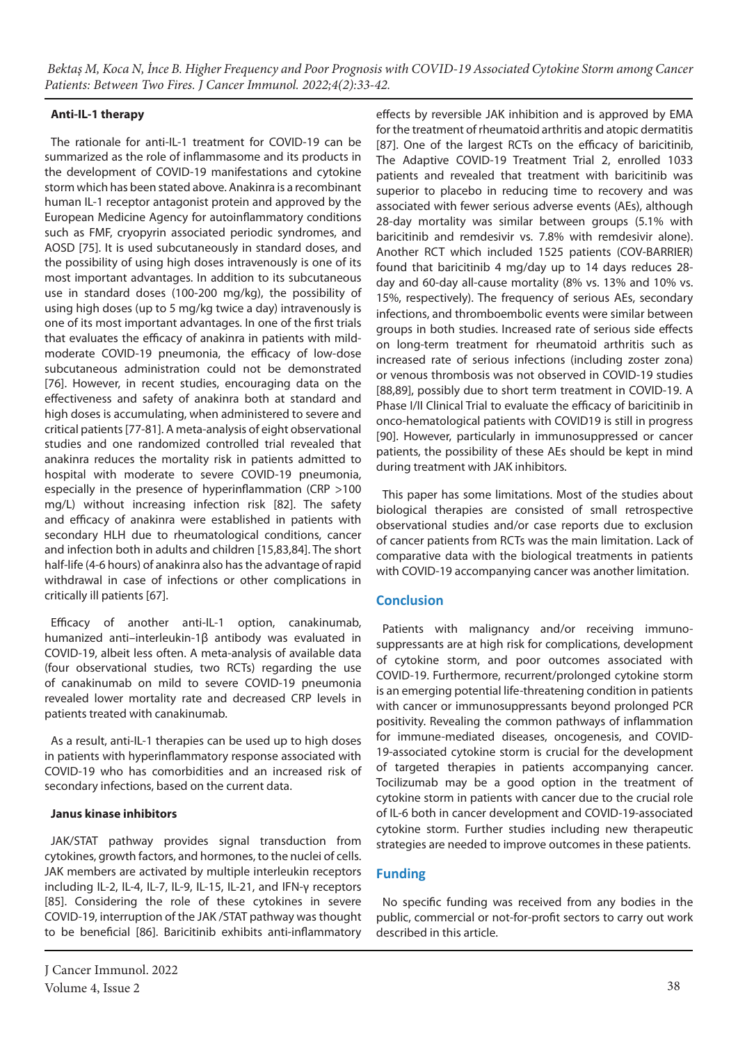# **Anti-IL-1 therapy**

The rationale for anti-IL-1 treatment for COVID-19 can be summarized as the role of inflammasome and its products in the development of COVID-19 manifestations and cytokine storm which has been stated above. Anakinra is a recombinant human IL-1 receptor antagonist protein and approved by the European Medicine Agency for autoinflammatory conditions such as FMF, cryopyrin associated periodic syndromes, and AOSD [75]. It is used subcutaneously in standard doses, and the possibility of using high doses intravenously is one of its most important advantages. In addition to its subcutaneous use in standard doses (100-200 mg/kg), the possibility of using high doses (up to 5 mg/kg twice a day) intravenously is one of its most important advantages. In one of the first trials that evaluates the efficacy of anakinra in patients with mildmoderate COVID-19 pneumonia, the efficacy of low-dose subcutaneous administration could not be demonstrated [76]. However, in recent studies, encouraging data on the effectiveness and safety of anakinra both at standard and high doses is accumulating, when administered to severe and critical patients [77-81]. A meta-analysis of eight observational studies and one randomized controlled trial revealed that anakinra reduces the mortality risk in patients admitted to hospital with moderate to severe COVID-19 pneumonia, especially in the presence of hyperinflammation (CRP >100 mg/L) without increasing infection risk [82]. The safety and efficacy of anakinra were established in patients with secondary HLH due to rheumatological conditions, cancer and infection both in adults and children [15,83,84]. The short half-life (4-6 hours) of anakinra also has the advantage of rapid withdrawal in case of infections or other complications in critically ill patients [67].

Efficacy of another anti-IL-1 option, canakinumab, humanized anti–interleukin-1β antibody was evaluated in COVID-19, albeit less often. A meta-analysis of available data (four observational studies, two RCTs) regarding the use of canakinumab on mild to severe COVID-19 pneumonia revealed lower mortality rate and decreased CRP levels in patients treated with canakinumab.

As a result, anti-IL-1 therapies can be used up to high doses in patients with hyperinflammatory response associated with COVID-19 who has comorbidities and an increased risk of secondary infections, based on the current data.

### **Janus kinase inhibitors**

JAK/STAT pathway provides signal transduction from cytokines, growth factors, and hormones, to the nuclei of cells. JAK members are activated by multiple interleukin receptors including IL-2, IL-4, IL-7, IL-9, IL-15, IL-21, and IFN-γ receptors [85]. Considering the role of these cytokines in severe COVID-19, interruption of the JAK /STAT pathway was thought to be beneficial [86]. Baricitinib exhibits anti-inflammatory

effects by reversible JAK inhibition and is approved by EMA for the treatment of rheumatoid arthritis and atopic dermatitis [87]. One of the largest RCTs on the efficacy of baricitinib, The Adaptive COVID-19 Treatment Trial 2, enrolled 1033 patients and revealed that treatment with baricitinib was superior to placebo in reducing time to recovery and was associated with fewer serious adverse events (AEs), although 28-day mortality was similar between groups (5.1% with baricitinib and remdesivir vs. 7.8% with remdesivir alone). Another RCT which included 1525 patients (COV-BARRIER) found that baricitinib 4 mg/day up to 14 days reduces 28 day and 60-day all-cause mortality (8% vs. 13% and 10% vs. 15%, respectively). The frequency of serious AEs, secondary infections, and thromboembolic events were similar between groups in both studies. Increased rate of serious side effects on long-term treatment for rheumatoid arthritis such as increased rate of serious infections (including zoster zona) or venous thrombosis was not observed in COVID-19 studies [88,89], possibly due to short term treatment in COVID-19. A Phase I/II Clinical Trial to evaluate the efficacy of baricitinib in onco-hematological patients with COVID19 is still in progress [90]. However, particularly in immunosuppressed or cancer patients, the possibility of these AEs should be kept in mind during treatment with JAK inhibitors.

This paper has some limitations. Most of the studies about biological therapies are consisted of small retrospective observational studies and/or case reports due to exclusion of cancer patients from RCTs was the main limitation. Lack of comparative data with the biological treatments in patients with COVID-19 accompanying cancer was another limitation.

# **Conclusion**

Patients with malignancy and/or receiving immunosuppressants are at high risk for complications, development of cytokine storm, and poor outcomes associated with COVID-19. Furthermore, recurrent/prolonged cytokine storm is an emerging potential life-threatening condition in patients with cancer or immunosuppressants beyond prolonged PCR positivity. Revealing the common pathways of inflammation for immune-mediated diseases, oncogenesis, and COVID-19-associated cytokine storm is crucial for the development of targeted therapies in patients accompanying cancer. Tocilizumab may be a good option in the treatment of cytokine storm in patients with cancer due to the crucial role of IL-6 both in cancer development and COVID-19-associated cytokine storm. Further studies including new therapeutic strategies are needed to improve outcomes in these patients.

# **Funding**

No specific funding was received from any bodies in the public, commercial or not-for-profit sectors to carry out work described in this article.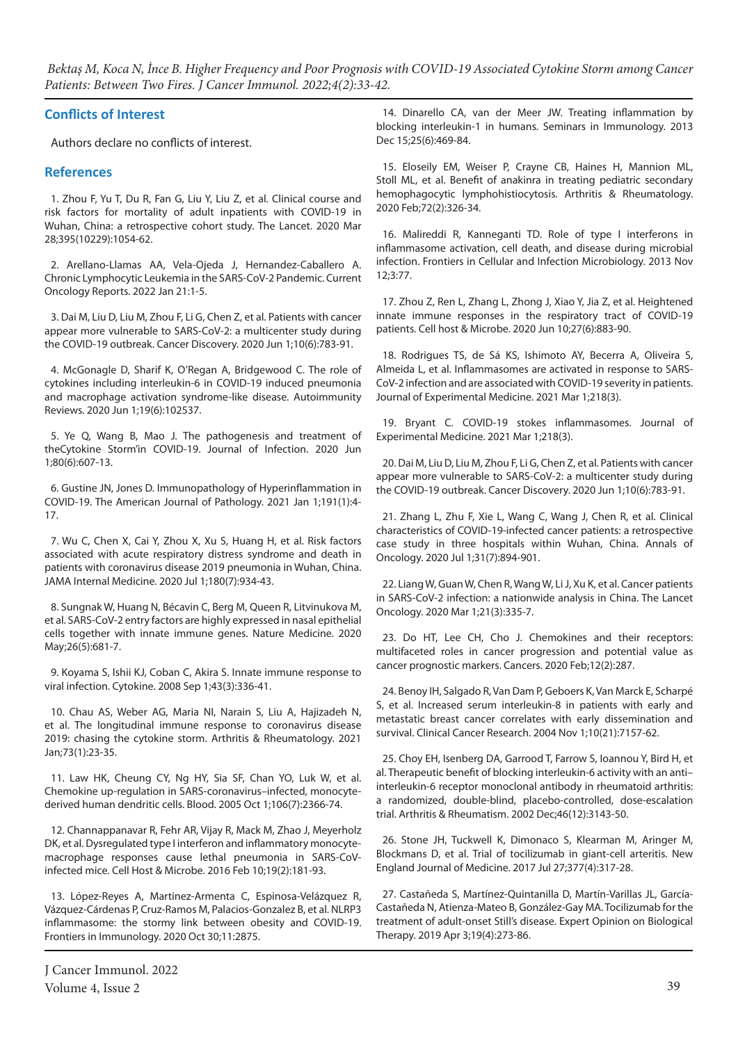#### **Conflicts of Interest**

Authors declare no conflicts of interest.

#### **References**

1. Zhou F, Yu T, Du R, Fan G, Liu Y, Liu Z, et al. Clinical course and risk factors for mortality of adult inpatients with COVID-19 in Wuhan, China: a retrospective cohort study. The Lancet. 2020 Mar 28;395(10229):1054-62.

2. Arellano-Llamas AA, Vela-Ojeda J, Hernandez-Caballero A. Chronic Lymphocytic Leukemia in the SARS-CoV-2 Pandemic. Current Oncology Reports. 2022 Jan 21:1-5.

3. Dai M, Liu D, Liu M, Zhou F, Li G, Chen Z, et al. Patients with cancer appear more vulnerable to SARS-CoV-2: a multicenter study during the COVID-19 outbreak. Cancer Discovery. 2020 Jun 1;10(6):783-91.

4. McGonagle D, Sharif K, O'Regan A, Bridgewood C. The role of cytokines including interleukin-6 in COVID-19 induced pneumonia and macrophage activation syndrome-like disease. Autoimmunity Reviews. 2020 Jun 1;19(6):102537.

5. Ye Q, Wang B, Mao J. The pathogenesis and treatment of theCytokine Storm'in COVID-19. Journal of Infection. 2020 Jun 1;80(6):607-13.

6. Gustine JN, Jones D. Immunopathology of Hyperinflammation in COVID-19. The American Journal of Pathology. 2021 Jan 1;191(1):4- 17.

7. Wu C, Chen X, Cai Y, Zhou X, Xu S, Huang H, et al. Risk factors associated with acute respiratory distress syndrome and death in patients with coronavirus disease 2019 pneumonia in Wuhan, China. JAMA Internal Medicine. 2020 Jul 1;180(7):934-43.

8. Sungnak W, Huang N, Bécavin C, Berg M, Queen R, Litvinukova M, et al. SARS-CoV-2 entry factors are highly expressed in nasal epithelial cells together with innate immune genes. Nature Medicine. 2020 May;26(5):681-7.

9. Koyama S, Ishii KJ, Coban C, Akira S. Innate immune response to viral infection. Cytokine. 2008 Sep 1;43(3):336-41.

10. Chau AS, Weber AG, Maria NI, Narain S, Liu A, Hajizadeh N, et al. The longitudinal immune response to coronavirus disease 2019: chasing the cytokine storm. Arthritis & Rheumatology. 2021 Jan;73(1):23-35.

11. Law HK, Cheung CY, Ng HY, Sia SF, Chan YO, Luk W, et al. Chemokine up-regulation in SARS-coronavirus–infected, monocytederived human dendritic cells. Blood. 2005 Oct 1;106(7):2366-74.

12. Channappanavar R, Fehr AR, Vijay R, Mack M, Zhao J, Meyerholz DK, et al. Dysregulated type I interferon and inflammatory monocytemacrophage responses cause lethal pneumonia in SARS-CoVinfected mice. Cell Host & Microbe. 2016 Feb 10;19(2):181-93.

13. López-Reyes A, Martinez-Armenta C, Espinosa-Velázquez R, Vázquez-Cárdenas P, Cruz-Ramos M, Palacios-Gonzalez B, et al. NLRP3 inflammasome: the stormy link between obesity and COVID-19. Frontiers in Immunology. 2020 Oct 30;11:2875.

14. Dinarello CA, van der Meer JW. Treating inflammation by blocking interleukin-1 in humans. Seminars in Immunology. 2013 Dec 15;25(6):469-84.

15. Eloseily EM, Weiser P, Crayne CB, Haines H, Mannion ML, Stoll ML, et al. Benefit of anakinra in treating pediatric secondary hemophagocytic lymphohistiocytosis. Arthritis & Rheumatology. 2020 Feb;72(2):326-34.

16. Malireddi R, Kanneganti TD. Role of type I interferons in inflammasome activation, cell death, and disease during microbial infection. Frontiers in Cellular and Infection Microbiology. 2013 Nov 12;3:77.

17. Zhou Z, Ren L, Zhang L, Zhong J, Xiao Y, Jia Z, et al. Heightened innate immune responses in the respiratory tract of COVID-19 patients. Cell host & Microbe. 2020 Jun 10;27(6):883-90.

18. Rodrigues TS, de Sá KS, Ishimoto AY, Becerra A, Oliveira S, Almeida L, et al. Inflammasomes are activated in response to SARS-CoV-2 infection and are associated with COVID-19 severity in patients. Journal of Experimental Medicine. 2021 Mar 1;218(3).

19. Bryant C. COVID-19 stokes inflammasomes. Journal of Experimental Medicine. 2021 Mar 1;218(3).

20. Dai M, Liu D, Liu M, Zhou F, Li G, Chen Z, et al. Patients with cancer appear more vulnerable to SARS-CoV-2: a multicenter study during the COVID-19 outbreak. Cancer Discovery. 2020 Jun 1;10(6):783-91.

21. Zhang L, Zhu F, Xie L, Wang C, Wang J, Chen R, et al. Clinical characteristics of COVID-19-infected cancer patients: a retrospective case study in three hospitals within Wuhan, China. Annals of Oncology. 2020 Jul 1;31(7):894-901.

22. Liang W, Guan W, Chen R, Wang W, Li J, Xu K, et al. Cancer patients in SARS-CoV-2 infection: a nationwide analysis in China. The Lancet Oncology. 2020 Mar 1;21(3):335-7.

23. Do HT, Lee CH, Cho J. Chemokines and their receptors: multifaceted roles in cancer progression and potential value as cancer prognostic markers. Cancers. 2020 Feb;12(2):287.

24. Benoy IH, Salgado R, Van Dam P, Geboers K, Van Marck E, Scharpé S, et al. Increased serum interleukin-8 in patients with early and metastatic breast cancer correlates with early dissemination and survival. Clinical Cancer Research. 2004 Nov 1;10(21):7157-62.

25. Choy EH, Isenberg DA, Garrood T, Farrow S, Ioannou Y, Bird H, et al. Therapeutic benefit of blocking interleukin‐6 activity with an anti– interleukin‐6 receptor monoclonal antibody in rheumatoid arthritis: a randomized, double‐blind, placebo‐controlled, dose‐escalation trial. Arthritis & Rheumatism. 2002 Dec;46(12):3143-50.

26. Stone JH, Tuckwell K, Dimonaco S, Klearman M, Aringer M, Blockmans D, et al. Trial of tocilizumab in giant-cell arteritis. New England Journal of Medicine. 2017 Jul 27;377(4):317-28.

27. Castañeda S, Martínez-Quintanilla D, Martín-Varillas JL, García-Castañeda N, Atienza-Mateo B, González-Gay MA. Tocilizumab for the treatment of adult-onset Still's disease. Expert Opinion on Biological Therapy. 2019 Apr 3;19(4):273-86.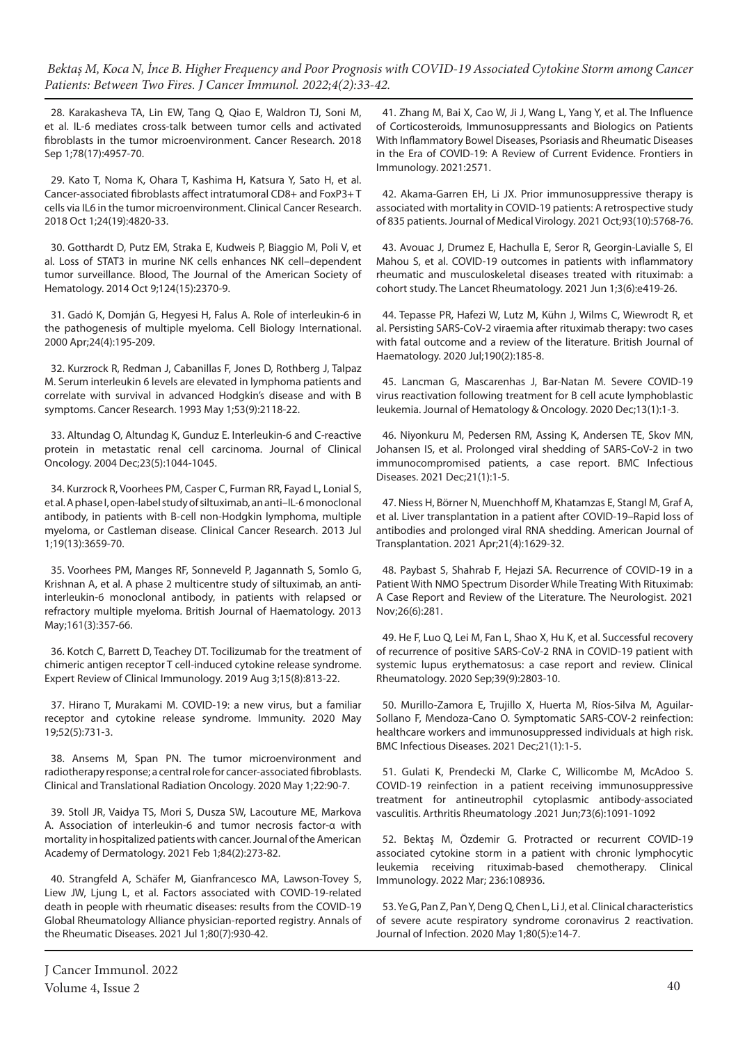28. Karakasheva TA, Lin EW, Tang Q, Qiao E, Waldron TJ, Soni M, et al. IL-6 mediates cross-talk between tumor cells and activated fibroblasts in the tumor microenvironment. Cancer Research. 2018 Sep 1;78(17):4957-70.

29. Kato T, Noma K, Ohara T, Kashima H, Katsura Y, Sato H, et al. Cancer-associated fibroblasts affect intratumoral CD8+ and FoxP3+ T cells via IL6 in the tumor microenvironment. Clinical Cancer Research. 2018 Oct 1;24(19):4820-33.

30. Gotthardt D, Putz EM, Straka E, Kudweis P, Biaggio M, Poli V, et al. Loss of STAT3 in murine NK cells enhances NK cell–dependent tumor surveillance. Blood, The Journal of the American Society of Hematology. 2014 Oct 9;124(15):2370-9.

31. Gadó K, Domján G, Hegyesi H, Falus A. Role of interleukin‐6 in the pathogenesis of multiple myeloma. Cell Biology International. 2000 Apr;24(4):195-209.

32. Kurzrock R, Redman J, Cabanillas F, Jones D, Rothberg J, Talpaz M. Serum interleukin 6 levels are elevated in lymphoma patients and correlate with survival in advanced Hodgkin's disease and with B symptoms. Cancer Research. 1993 May 1;53(9):2118-22.

33. Altundag O, Altundag K, Gunduz E. Interleukin-6 and C-reactive protein in metastatic renal cell carcinoma. Journal of Clinical Oncology. 2004 Dec;23(5):1044-1045.

34. Kurzrock R, Voorhees PM, Casper C, Furman RR, Fayad L, Lonial S, et al. A phase I, open-label study of siltuximab, an anti–IL-6 monoclonal antibody, in patients with B-cell non-Hodgkin lymphoma, multiple myeloma, or Castleman disease. Clinical Cancer Research. 2013 Jul 1;19(13):3659-70.

35. Voorhees PM, Manges RF, Sonneveld P, Jagannath S, Somlo G, Krishnan A, et al. A phase 2 multicentre study of siltuximab, an anti‐ interleukin‐6 monoclonal antibody, in patients with relapsed or refractory multiple myeloma. British Journal of Haematology. 2013 May;161(3):357-66.

36. Kotch C, Barrett D, Teachey DT. Tocilizumab for the treatment of chimeric antigen receptor T cell-induced cytokine release syndrome. Expert Review of Clinical Immunology. 2019 Aug 3;15(8):813-22.

37. Hirano T, Murakami M. COVID-19: a new virus, but a familiar receptor and cytokine release syndrome. Immunity. 2020 May 19;52(5):731-3.

38. Ansems M, Span PN. The tumor microenvironment and radiotherapy response; a central role for cancer-associated fibroblasts. Clinical and Translational Radiation Oncology. 2020 May 1;22:90-7.

39. Stoll JR, Vaidya TS, Mori S, Dusza SW, Lacouture ME, Markova A. Association of interleukin-6 and tumor necrosis factor-α with mortality in hospitalized patients with cancer. Journal of the American Academy of Dermatology. 2021 Feb 1;84(2):273-82.

40. Strangfeld A, Schäfer M, Gianfrancesco MA, Lawson-Tovey S, Liew JW, Ljung L, et al. Factors associated with COVID-19-related death in people with rheumatic diseases: results from the COVID-19 Global Rheumatology Alliance physician-reported registry. Annals of the Rheumatic Diseases. 2021 Jul 1;80(7):930-42.

J Cancer Immunol. 2022 Volume 4, Issue 2  $\sim$  40

41. Zhang M, Bai X, Cao W, Ji J, Wang L, Yang Y, et al. The Influence of Corticosteroids, Immunosuppressants and Biologics on Patients With Inflammatory Bowel Diseases, Psoriasis and Rheumatic Diseases in the Era of COVID-19: A Review of Current Evidence. Frontiers in Immunology. 2021:2571.

42. Akama‐Garren EH, Li JX. Prior immunosuppressive therapy is associated with mortality in COVID‐19 patients: A retrospective study of 835 patients. Journal of Medical Virology. 2021 Oct;93(10):5768-76.

43. Avouac J, Drumez E, Hachulla E, Seror R, Georgin-Lavialle S, El Mahou S, et al. COVID-19 outcomes in patients with inflammatory rheumatic and musculoskeletal diseases treated with rituximab: a cohort study. The Lancet Rheumatology. 2021 Jun 1;3(6):e419-26.

44. Tepasse PR, Hafezi W, Lutz M, Kühn J, Wilms C, Wiewrodt R, et al. Persisting SARS‐CoV‐2 viraemia after rituximab therapy: two cases with fatal outcome and a review of the literature. British Journal of Haematology. 2020 Jul;190(2):185-8.

45. Lancman G, Mascarenhas J, Bar-Natan M. Severe COVID-19 virus reactivation following treatment for B cell acute lymphoblastic leukemia. Journal of Hematology & Oncology. 2020 Dec;13(1):1-3.

46. Niyonkuru M, Pedersen RM, Assing K, Andersen TE, Skov MN, Johansen IS, et al. Prolonged viral shedding of SARS-CoV-2 in two immunocompromised patients, a case report. BMC Infectious Diseases. 2021 Dec;21(1):1-5.

47. Niess H, Börner N, Muenchhoff M, Khatamzas E, Stangl M, Graf A, et al. Liver transplantation in a patient after COVID‐19–Rapid loss of antibodies and prolonged viral RNA shedding. American Journal of Transplantation. 2021 Apr;21(4):1629-32.

48. Paybast S, Shahrab F, Hejazi SA. Recurrence of COVID-19 in a Patient With NMO Spectrum Disorder While Treating With Rituximab: A Case Report and Review of the Literature. The Neurologist. 2021 Nov;26(6):281.

49. He F, Luo Q, Lei M, Fan L, Shao X, Hu K, et al. Successful recovery of recurrence of positive SARS-CoV-2 RNA in COVID-19 patient with systemic lupus erythematosus: a case report and review. Clinical Rheumatology. 2020 Sep;39(9):2803-10.

50. Murillo-Zamora E, Trujillo X, Huerta M, Ríos-Silva M, Aguilar-Sollano F, Mendoza-Cano O. Symptomatic SARS-COV-2 reinfection: healthcare workers and immunosuppressed individuals at high risk. BMC Infectious Diseases. 2021 Dec;21(1):1-5.

51. Gulati K, Prendecki M, Clarke C, Willicombe M, McAdoo S. COVID-19 reinfection in a patient receiving immunosuppressive treatment for antineutrophil cytoplasmic antibody-associated vasculitis. Arthritis Rheumatology .2021 Jun;73(6):1091-1092

52. Bektaş M, Özdemir G. Protracted or recurrent COVID-19 associated cytokine storm in a patient with chronic lymphocytic leukemia receiving rituximab-based chemotherapy. Clinical Immunology. 2022 Mar; 236:108936.

53. Ye G, Pan Z, Pan Y, Deng Q, Chen L, Li J, et al. Clinical characteristics of severe acute respiratory syndrome coronavirus 2 reactivation. Journal of Infection. 2020 May 1;80(5):e14-7.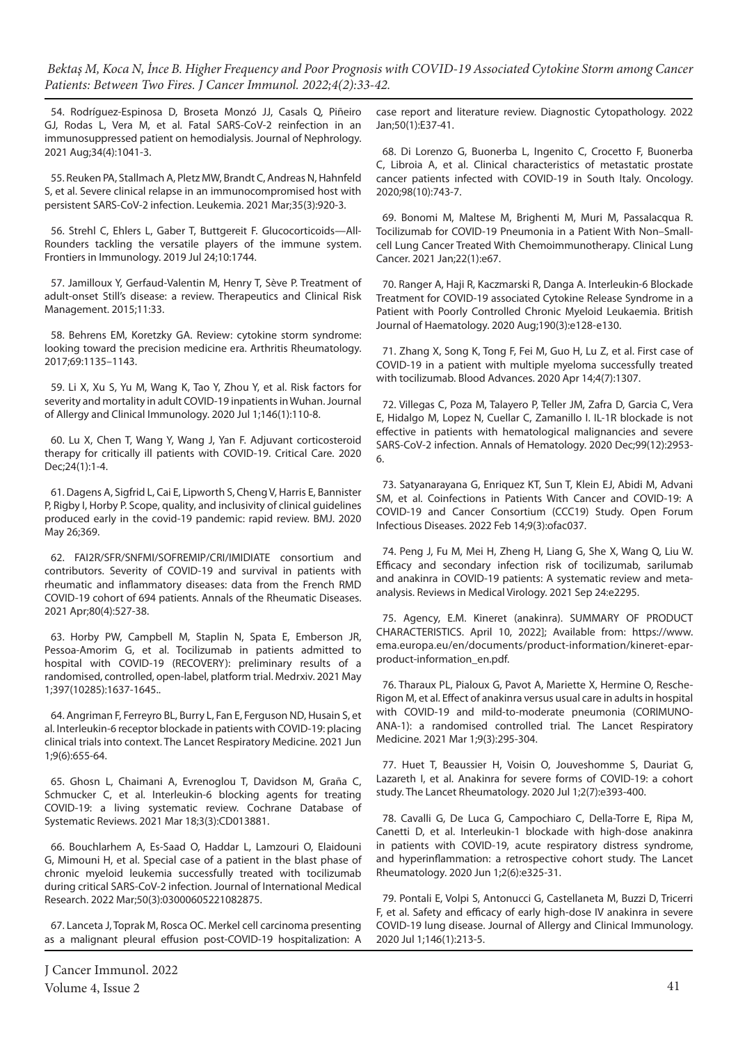54. Rodríguez-Espinosa D, Broseta Monzó JJ, Casals Q, Piñeiro GJ, Rodas L, Vera M, et al. Fatal SARS-CoV-2 reinfection in an immunosuppressed patient on hemodialysis. Journal of Nephrology. 2021 Aug;34(4):1041-3.

55. Reuken PA, Stallmach A, Pletz MW, Brandt C, Andreas N, Hahnfeld S, et al. Severe clinical relapse in an immunocompromised host with persistent SARS-CoV-2 infection. Leukemia. 2021 Mar;35(3):920-3.

56. Strehl C, Ehlers L, Gaber T, Buttgereit F. Glucocorticoids—All-Rounders tackling the versatile players of the immune system. Frontiers in Immunology. 2019 Jul 24;10:1744.

57. Jamilloux Y, Gerfaud-Valentin M, Henry T, Sève P. Treatment of adult-onset Still's disease: a review. Therapeutics and Clinical Risk Management. 2015;11:33.

58. Behrens EM, Koretzky GA. Review: cytokine storm syndrome: looking toward the precision medicine era. Arthritis Rheumatology. 2017;69:1135–1143.

59. Li X, Xu S, Yu M, Wang K, Tao Y, Zhou Y, et al. Risk factors for severity and mortality in adult COVID-19 inpatients in Wuhan. Journal of Allergy and Clinical Immunology. 2020 Jul 1;146(1):110-8.

60. Lu X, Chen T, Wang Y, Wang J, Yan F. Adjuvant corticosteroid therapy for critically ill patients with COVID-19. Critical Care. 2020 Dec;24(1):1-4.

61. Dagens A, Sigfrid L, Cai E, Lipworth S, Cheng V, Harris E, Bannister P, Rigby I, Horby P. Scope, quality, and inclusivity of clinical guidelines produced early in the covid-19 pandemic: rapid review. BMJ. 2020 May 26;369.

62. FAI2R/SFR/SNFMI/SOFREMIP/CRI/IMIDIATE consortium and contributors. Severity of COVID-19 and survival in patients with rheumatic and inflammatory diseases: data from the French RMD COVID-19 cohort of 694 patients. Annals of the Rheumatic Diseases. 2021 Apr;80(4):527-38.

63. Horby PW, Campbell M, Staplin N, Spata E, Emberson JR, Pessoa-Amorim G, et al. Tocilizumab in patients admitted to hospital with COVID-19 (RECOVERY): preliminary results of a randomised, controlled, open-label, platform trial. Medrxiv. 2021 May 1;397(10285):1637-1645..

64. Angriman F, Ferreyro BL, Burry L, Fan E, Ferguson ND, Husain S, et al. Interleukin-6 receptor blockade in patients with COVID-19: placing clinical trials into context. The Lancet Respiratory Medicine. 2021 Jun 1;9(6):655-64.

65. Ghosn L, Chaimani A, Evrenoglou T, Davidson M, Graña C, Schmucker C, et al. Interleukin-6 blocking agents for treating COVID‐19: a living systematic review. Cochrane Database of Systematic Reviews. 2021 Mar 18;3(3):CD013881.

66. Bouchlarhem A, Es-Saad O, Haddar L, Lamzouri O, Elaidouni G, Mimouni H, et al. Special case of a patient in the blast phase of chronic myeloid leukemia successfully treated with tocilizumab during critical SARS-CoV-2 infection. Journal of International Medical Research. 2022 Mar;50(3):03000605221082875.

67. Lanceta J, Toprak M, Rosca OC. Merkel cell carcinoma presenting as a malignant pleural effusion post‐COVID‐19 hospitalization: A case report and literature review. Diagnostic Cytopathology. 2022 Jan;50(1):E37-41.

68. Di Lorenzo G, Buonerba L, Ingenito C, Crocetto F, Buonerba C, Libroia A, et al. Clinical characteristics of metastatic prostate cancer patients infected with COVID-19 in South Italy. Oncology. 2020;98(10):743-7.

69. Bonomi M, Maltese M, Brighenti M, Muri M, Passalacqua R. Tocilizumab for COVID-19 Pneumonia in a Patient With Non–Smallcell Lung Cancer Treated With Chemoimmunotherapy. Clinical Lung Cancer. 2021 Jan;22(1):e67.

70. Ranger A, Haji R, Kaczmarski R, Danga A. Interleukin‐6 Blockade Treatment for COVID‐19 associated Cytokine Release Syndrome in a Patient with Poorly Controlled Chronic Myeloid Leukaemia. British Journal of Haematology. 2020 Aug;190(3):e128-e130.

71. Zhang X, Song K, Tong F, Fei M, Guo H, Lu Z, et al. First case of COVID-19 in a patient with multiple myeloma successfully treated with tocilizumab. Blood Advances. 2020 Apr 14;4(7):1307.

72. Villegas C, Poza M, Talayero P, Teller JM, Zafra D, Garcia C, Vera E, Hidalgo M, Lopez N, Cuellar C, Zamanillo I. IL-1R blockade is not effective in patients with hematological malignancies and severe SARS-CoV-2 infection. Annals of Hematology. 2020 Dec;99(12):2953- 6.

73. Satyanarayana G, Enriquez KT, Sun T, Klein EJ, Abidi M, Advani SM, et al. Coinfections in Patients With Cancer and COVID-19: A COVID-19 and Cancer Consortium (CCC19) Study. Open Forum Infectious Diseases. 2022 Feb 14;9(3):ofac037.

74. Peng J, Fu M, Mei H, Zheng H, Liang G, She X, Wang Q, Liu W. Efficacy and secondary infection risk of tocilizumab, sarilumab and anakinra in COVID‐19 patients: A systematic review and meta‐ analysis. Reviews in Medical Virology. 2021 Sep 24:e2295.

75. Agency, E.M. Kineret (anakinra). SUMMARY OF PRODUCT CHARACTERISTICS. April 10, 2022]; Available from: https://www. ema.europa.eu/en/documents/product-information/kineret-eparproduct-information\_en.pdf.

76. Tharaux PL, Pialoux G, Pavot A, Mariette X, Hermine O, Resche-Rigon M, et al. Effect of anakinra versus usual care in adults in hospital with COVID-19 and mild-to-moderate pneumonia (CORIMUNO-ANA-1): a randomised controlled trial. The Lancet Respiratory Medicine. 2021 Mar 1;9(3):295-304.

77. Huet T, Beaussier H, Voisin O, Jouveshomme S, Dauriat G, Lazareth I, et al. Anakinra for severe forms of COVID-19: a cohort study. The Lancet Rheumatology. 2020 Jul 1;2(7):e393-400.

78. Cavalli G, De Luca G, Campochiaro C, Della-Torre E, Ripa M, Canetti D, et al. Interleukin-1 blockade with high-dose anakinra in patients with COVID-19, acute respiratory distress syndrome, and hyperinflammation: a retrospective cohort study. The Lancet Rheumatology. 2020 Jun 1;2(6):e325-31.

79. Pontali E, Volpi S, Antonucci G, Castellaneta M, Buzzi D, Tricerri F, et al. Safety and efficacy of early high-dose IV anakinra in severe COVID-19 lung disease. Journal of Allergy and Clinical Immunology. 2020 Jul 1;146(1):213-5.